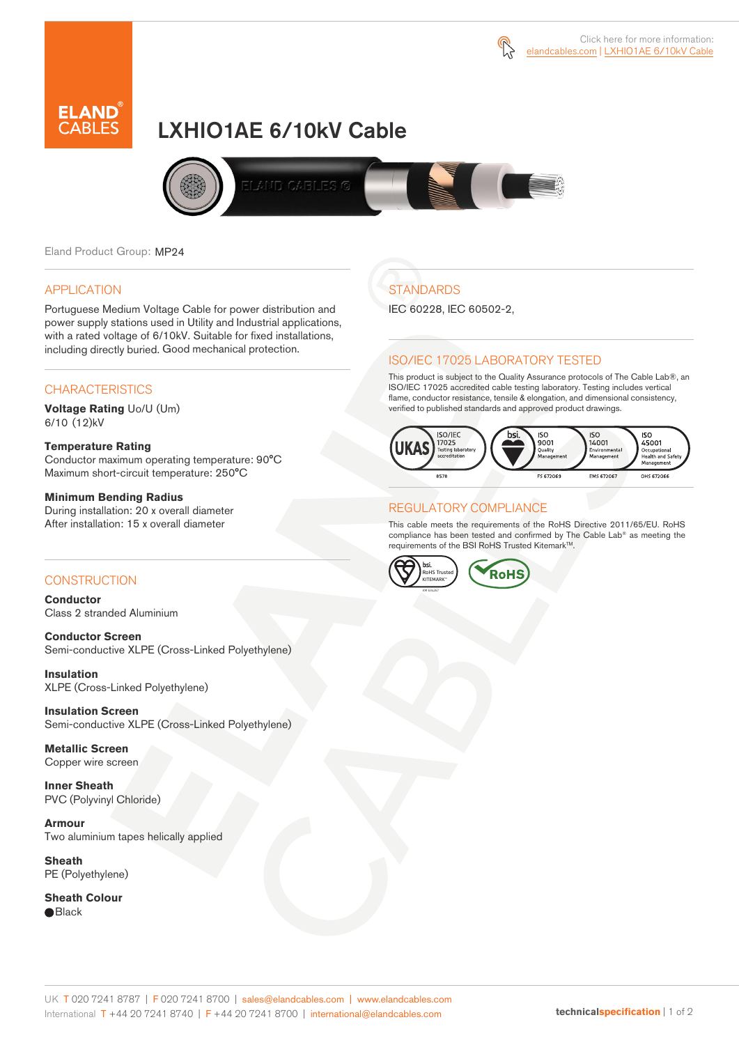



# LXHIO1AE 6/10kV Cable



Eland Product Group: MP24

#### APPLICATION

Portuguese Medium Voltage Cable for power distribution and power supply stations used in Utility and Industrial applications, with a rated voltage of 6/10kV. Suitable for fixed installations, including directly buried. Good mechanical protection.

### **CHARACTERISTICS**

**Voltage Rating** Uo/U (Um) 6/10 (12)kV

#### **Temperature Rating**

Conductor maximum operating temperature: 90°C Maximum short-circuit temperature: 250°C

#### **Minimum Bending Radius**

During installation: 20 x overall diameter After installation: 15 x overall diameter

#### **CONSTRUCTION**

**Conductor**  Class 2 stranded Aluminium

**Conductor Screen** Semi-conductive XLPE (Cross-Linked Polyethylene)

**Insulation** XLPE (Cross-Linked Polyethylene)

**Insulation Screen** Semi-conductive XLPE (Cross-Linked Polyethylene)

**Metallic Screen**  Copper wire screen

**Inner Sheath** PVC (Polyvinyl Chloride)

**Armour** Two aluminium tapes helically applied

**Sheath** PE (Polyethylene)

**Sheath Colour**  ● Black

**STANDARDS** 

IEC 60228, IEC 60502-2,

#### ISO/IEC 17025 LABORATORY TESTED

This product is subject to the Quality Assurance protocols of The Cable Lab®, an ISO/IEC 17025 accredited cable testing laboratory. Testing includes vertical flame, conductor resistance, tensile & elongation, and dimensional consistency, verified to published standards and approved product drawings.



#### REGULATORY COMPLIANCE

This cable meets the requirements of the RoHS Directive 2011/65/EU. RoHS compliance has been tested and confirmed by The Cable Lab® as meeting the requirements of the BSI RoHS Trusted Kitemark™.